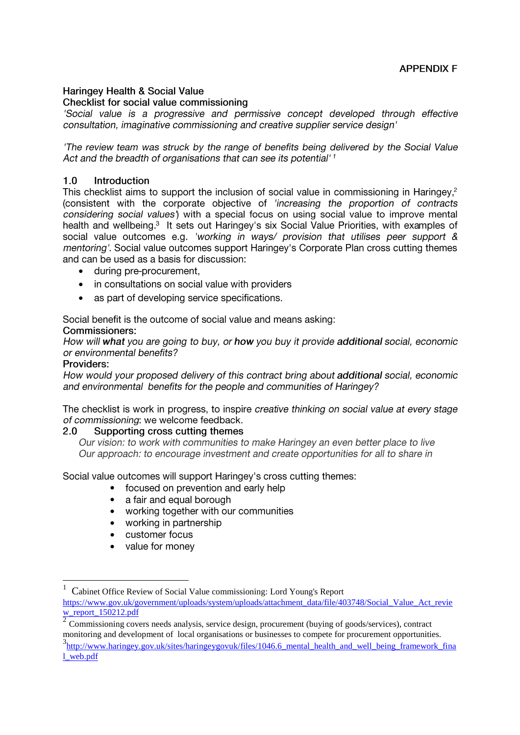### **Haringey Health & Social Value** Checklist for social value commissioning

'Social value is a progressive and permissive concept developed through effective consultation, imaginative commissioning and creative supplier service design'

The review team was struck by the range of benefits being delivered by the Social Value Act and the breadth of organisations that can see its potential'<sup>1</sup>

#### $1.0$ Introduction

This checklist aims to support the inclusion of social value in commissioning in Haringey,<sup>2</sup> (consistent with the corporate objective of 'increasing the proportion of contracts considering social values') with a special focus on using social value to improve mental health and wellbeing.<sup>3</sup> It sets out Haringey's six Social Value Priorities, with examples of social value outcomes e.g. 'working in ways/ provision that utilises peer support & mentoring'. Social value outcomes support Haringey's Corporate Plan cross cutting themes and can be used as a basis for discussion:

- during pre-procurement,
- in consultations on social value with providers  $\bullet$
- as part of developing service specifications.  $\bullet$

Social benefit is the outcome of social value and means asking:

### Commissioners:

How will what you are going to buy, or how you buy it provide additional social, economic or environmental benefits?

## Providers:

1

How would your proposed delivery of this contract bring about additional social, economic and environmental benefits for the people and communities of Haringey?

The checklist is work in progress, to inspire creative thinking on social value at every stage of commissioning: we welcome feedback.

#### Supporting cross cutting themes  $2.0$

Our vision: to work with communities to make Haringey an even better place to live Our approach: to encourage investment and create opportunities for all to share in

Social value outcomes will support Haringey's cross cutting themes:

- $\bullet$ focused on prevention and early help
- a fair and equal borough  $\bullet$
- working together with our communities  $\bullet$
- working in partnership  $\bullet$
- customer focus  $\bullet$
- $\bullet$ value for money

1 Cabinet Office Review of Social Value commissioning: Lord Young's Report [https://www.gov.uk/government/uploads/system/uploads/attachment\\_data/file/403748/Social\\_Value\\_Act\\_revie](https://www.gov.uk/government/uploads/system/uploads/attachment_data/file/403748/Social_Value_Act_review_report_150212.pdf) w report  $150212$ .pdf

 $\overline{2}$ Commissioning covers needs analysis, service design, procurement (buying of goods/services), contract monitoring and development of local organisations or businesses to compete for procurement opportunities. 3<br>http://www.haringey.gov.uk/sites/haringeygovuk/files/1046.6 mental health and well being framework final [l\\_web.pdf](http://www.haringey.gov.uk/sites/haringeygovuk/files/1046.6_mental_health_and_well_being_framework_final_web.pdf)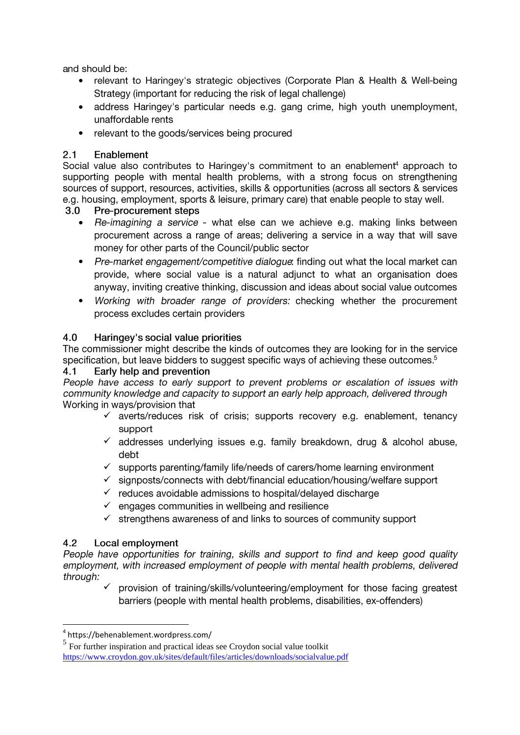and should be:

- relevant to Haringey's strategic objectives (Corporate Plan & Health & Well-being Strategy (important for reducing the risk of legal challenge)
- address Haringey's particular needs e.g. gang crime, high youth unemployment, unaffordable rents
- relevant to the goods/services being procured  $\bullet$

#### $2.1$ Enablement

Social value also contributes to Haringey's commitment to an enablement<sup>4</sup> approach to supporting people with mental health problems, with a strong focus on strengthening sources of support, resources, activities, skills & opportunities (across all sectors & services e.g. housing, employment, sports & leisure, primary care) that enable people to stay well.

#### $3.0$ Pre-procurement steps

- $\bullet$ Re-imagining a service - what else can we achieve e.g. making links between procurement across a range of areas; delivering a service in a way that will save money for other parts of the Council/public sector
- Pre-market engagement/competitive dialogue: finding out what the local market can  $\bullet$ provide, where social value is a natural adjunct to what an organisation does anyway, inviting creative thinking, discussion and ideas about social value outcomes
- Working with broader range of providers: checking whether the procurement  $\bullet$ process excludes certain providers

#### $4.0$ Haringey's social value priorities

The commissioner might describe the kinds of outcomes they are looking for in the service specification, but leave bidders to suggest specific ways of achieving these outcomes.<sup>5</sup>

#### $4.1$ Early help and prevention

People have access to early support to prevent problems or escalation of issues with community knowledge and capacity to support an early help approach, delivered through Working in ways/provision that

- $\checkmark$  averts/reduces risk of crisis: supports recovery e.g. enablement, tenancy support
- $\checkmark$  addresses underlying issues e.g. family breakdown, drug & alcohol abuse, debt
- $\checkmark$  supports parenting/family life/needs of carers/home learning environment
- $\checkmark$  signposts/connects with debt/financial education/housing/welfare support
- $\checkmark$  reduces avoidable admissions to hospital/delayed discharge
- $\checkmark$  engages communities in wellbeing and resilience
- $\checkmark$  strengthens awareness of and links to sources of community support

#### $4.2$ Local employment

1

People have opportunities for training, skills and support to find and keep good quality employment, with increased employment of people with mental health problems, delivered through:

 $\checkmark$ provision of training/skills/volunteering/employment for those facing greatest barriers (people with mental health problems, disabilities, ex-offenders)

<sup>4</sup> https://behenablement.wordpress.com/

<sup>&</sup>lt;sup>5</sup> For further inspiration and practical ideas see Croydon social value toolkit <https://www.croydon.gov.uk/sites/default/files/articles/downloads/socialvalue.pdf>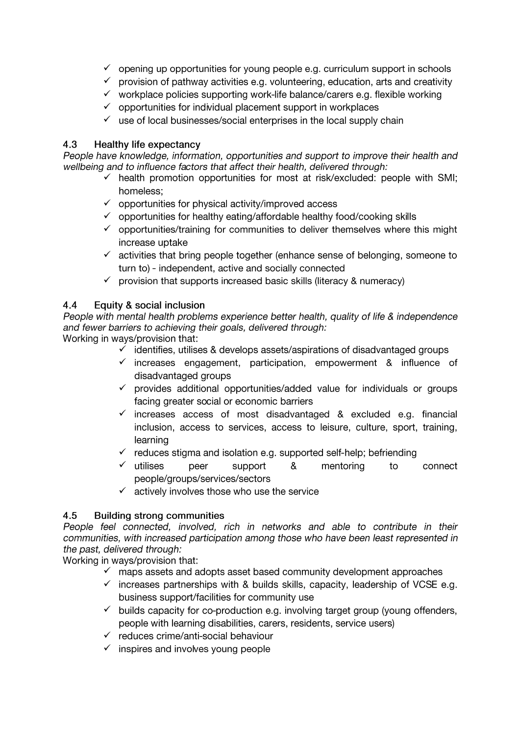- $\checkmark$  opening up opportunities for young people e.g. curriculum support in schools
- $\checkmark$  provision of pathway activities e.g. volunteering, education, arts and creativity
- $\checkmark$  workplace policies supporting work-life balance/carers e.g. flexible working
- $\checkmark$  opportunities for individual placement support in workplaces
- $\checkmark$  use of local businesses/social enterprises in the local supply chain

#### 4.3 **Healthy life expectancy**

People have knowledge, information, opportunities and support to improve their health and wellbeing and to influence factors that affect their health, delivered through:

- $\checkmark$  health promotion opportunities for most at risk/excluded: people with SMI; homeless:
- $\checkmark$  opportunities for physical activity/improved access
- ✓ opportunities for healthy eating/affordable healthy food/cooking skills
- $\checkmark$  opportunities/training for communities to deliver themselves where this might increase uptake
- $\checkmark$  activities that bring people together (enhance sense of belonging, someone to turn to) - independent, active and socially connected
- $\checkmark$  provision that supports increased basic skills (literacy & numeracy)

#### $4.4$ Equity & social inclusion

People with mental health problems experience better health, quality of life & independence and fewer barriers to achieving their goals, delivered through:

Working in ways/provision that:

- $\checkmark$  identifies, utilises & develops assets/aspirations of disadvantaged groups
- $\checkmark$  increases engagement, participation, empowerment & influence of disadvantaged groups
- $\checkmark$  provides additional opportunities/added value for individuals or groups facing greater social or economic barriers
- $\checkmark$  increases access of most disadvantaged & excluded e.g. financial inclusion, access to services, access to leisure, culture, sport, training, learning
- $\checkmark$  reduces stigma and isolation e.g. supported self-help; befriending
- $\checkmark$  utilises peer support  $8<sub>1</sub>$ mentoring  $\overline{10}$ connect people/groups/services/sectors
- $\checkmark$  actively involves those who use the service

#### $4.5$ **Building strong communities**

People feel connected, involved, rich in networks and able to contribute in their communities, with increased participation among those who have been least represented in the past, delivered through:

Working in ways/provision that:

- $\checkmark$  maps assets and adopts asset based community development approaches
- $\checkmark$  increases partnerships with & builds skills, capacity, leadership of VCSE e.g. business support/facilities for community use
- $\checkmark$  builds capacity for co-production e.g. involving target group (young offenders, people with learning disabilities, carers, residents, service users)
- $\checkmark$  reduces crime/anti-social behaviour
- $\checkmark$  inspires and involves young people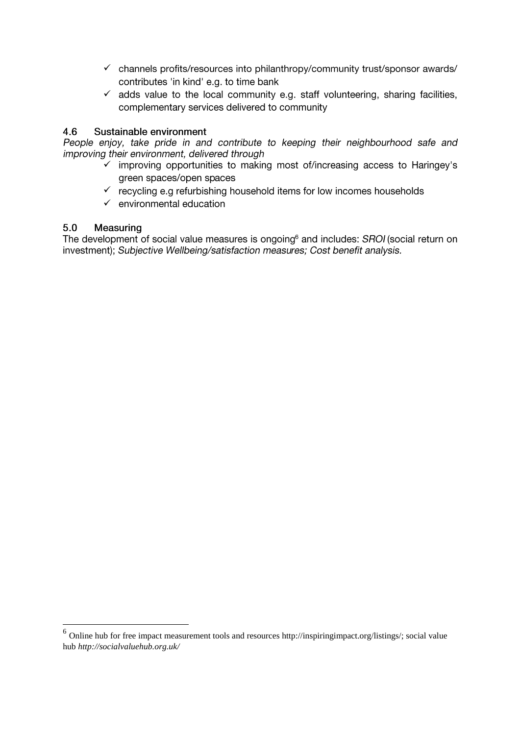- $\checkmark$  channels profits/resources into philanthropy/community trust/sponsor awards/ contributes 'in kind' e.g. to time bank
- $\checkmark$  adds value to the local community e.g. staff volunteering, sharing facilities, complementary services delivered to community

#### $4.6$ Sustainable environment

People enjoy, take pride in and contribute to keeping their neighbourhood safe and improving their environment, delivered through

- mimproving opportunities to making most of/increasing access to Haringey's green spaces/open spaces
- $\checkmark$  recycling e.g refurbishing household items for low incomes households
- $\checkmark$  environmental education

#### $5.0$ Measuring

1

The development of social value measures is ongoing<sup>6</sup> and includes: SROI (social return on investment); Subjective Wellbeing/satisfaction measures; Cost benefit analysis.

<sup>&</sup>lt;sup>6</sup> Online hub for free impact measurement tools and resources http://inspiringimpact.org/listings/; social value hub *http://socialvaluehub.org.uk/*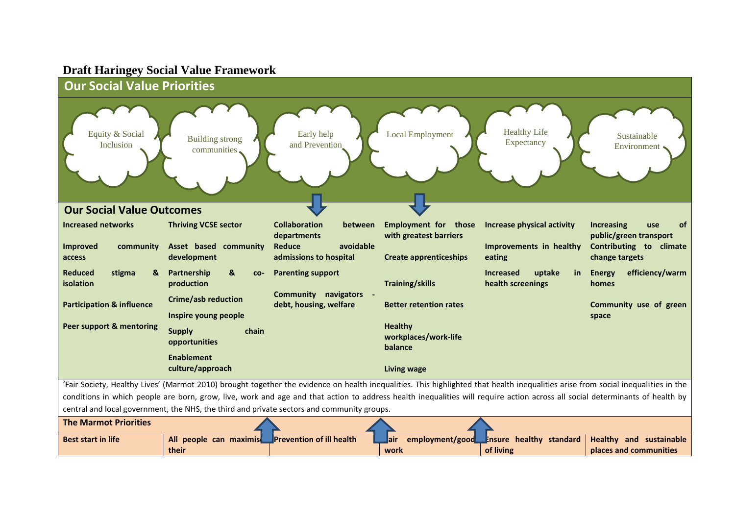# **Draft Haringey Social Value Framework**